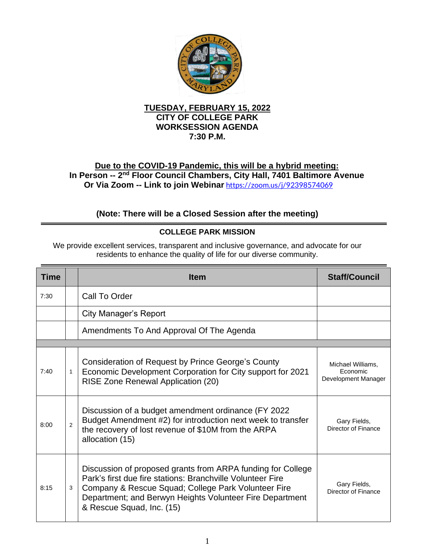

### **TUESDAY, FEBRUARY 15, 2022 CITY OF COLLEGE PARK WORKSESSION AGENDA 7:30 P.M.**

## **Due to the COVID-19 Pandemic, this will be a hybrid meeting:** In Person -- 2<sup>nd</sup> Floor Council Chambers, City Hall, 7401 Baltimore Avenue **Or Via Zoom -- Link to join Webinar** <https://zoom.us/j/92398574069>

# **(Note: There will be a Closed Session after the meeting)**

### **COLLEGE PARK MISSION**

We provide excellent services, transparent and inclusive governance, and advocate for our residents to enhance the quality of life for our diverse community.

| <b>Time</b> |                | <b>Item</b>                                                                                                                                                                                                                                                               | <b>Staff/Council</b>                                 |  |  |
|-------------|----------------|---------------------------------------------------------------------------------------------------------------------------------------------------------------------------------------------------------------------------------------------------------------------------|------------------------------------------------------|--|--|
| 7:30        |                | Call To Order                                                                                                                                                                                                                                                             |                                                      |  |  |
|             |                | City Manager's Report                                                                                                                                                                                                                                                     |                                                      |  |  |
|             |                | Amendments To And Approval Of The Agenda                                                                                                                                                                                                                                  |                                                      |  |  |
|             |                |                                                                                                                                                                                                                                                                           |                                                      |  |  |
| 7:40        | 1              | <b>Consideration of Request by Prince George's County</b><br>Economic Development Corporation for City support for 2021<br>RISE Zone Renewal Application (20)                                                                                                             | Michael Williams,<br>Economic<br>Development Manager |  |  |
| 8:00        | $\mathfrak{p}$ | Discussion of a budget amendment ordinance (FY 2022)<br>Budget Amendment #2) for introduction next week to transfer<br>the recovery of lost revenue of \$10M from the ARPA<br>allocation (15)                                                                             | Gary Fields,<br>Director of Finance                  |  |  |
| 8:15        | 3              | Discussion of proposed grants from ARPA funding for College<br>Park's first due fire stations: Branchville Volunteer Fire<br>Company & Rescue Squad; College Park Volunteer Fire<br>Department; and Berwyn Heights Volunteer Fire Department<br>& Rescue Squad, Inc. (15) | Gary Fields,<br>Director of Finance                  |  |  |